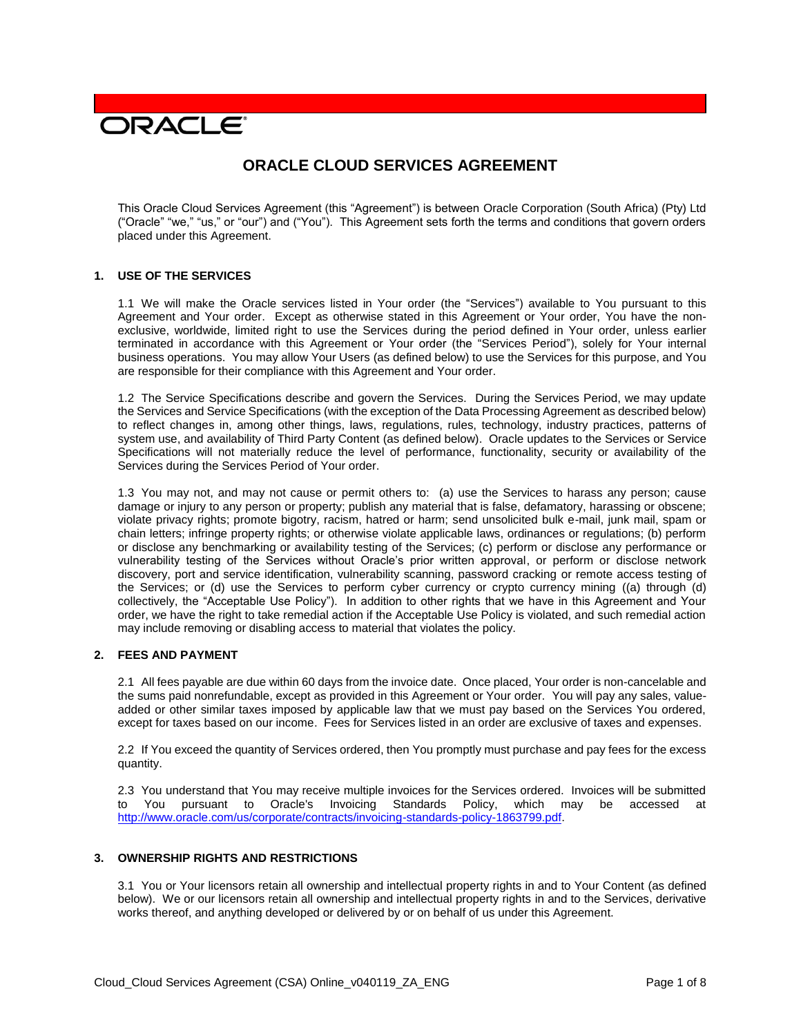# **DRACLE**

# **ORACLE CLOUD SERVICES AGREEMENT**

This Oracle Cloud Services Agreement (this "Agreement") is between Oracle Corporation (South Africa) (Pty) Ltd ("Oracle" "we," "us," or "our") and ("You"). This Agreement sets forth the terms and conditions that govern orders placed under this Agreement.

#### **1. USE OF THE SERVICES**

1.1 We will make the Oracle services listed in Your order (the "Services") available to You pursuant to this Agreement and Your order. Except as otherwise stated in this Agreement or Your order, You have the nonexclusive, worldwide, limited right to use the Services during the period defined in Your order, unless earlier terminated in accordance with this Agreement or Your order (the "Services Period"), solely for Your internal business operations. You may allow Your Users (as defined below) to use the Services for this purpose, and You are responsible for their compliance with this Agreement and Your order.

1.2 The Service Specifications describe and govern the Services. During the Services Period, we may update the Services and Service Specifications (with the exception of the Data Processing Agreement as described below) to reflect changes in, among other things, laws, regulations, rules, technology, industry practices, patterns of system use, and availability of Third Party Content (as defined below). Oracle updates to the Services or Service Specifications will not materially reduce the level of performance, functionality, security or availability of the Services during the Services Period of Your order.

1.3 You may not, and may not cause or permit others to: (a) use the Services to harass any person; cause damage or injury to any person or property; publish any material that is false, defamatory, harassing or obscene; violate privacy rights; promote bigotry, racism, hatred or harm; send unsolicited bulk e-mail, junk mail, spam or chain letters; infringe property rights; or otherwise violate applicable laws, ordinances or regulations; (b) perform or disclose any benchmarking or availability testing of the Services; (c) perform or disclose any performance or vulnerability testing of the Services without Oracle's prior written approval, or perform or disclose network discovery, port and service identification, vulnerability scanning, password cracking or remote access testing of the Services; or (d) use the Services to perform cyber currency or crypto currency mining ((a) through (d) collectively, the "Acceptable Use Policy"). In addition to other rights that we have in this Agreement and Your order, we have the right to take remedial action if the Acceptable Use Policy is violated, and such remedial action may include removing or disabling access to material that violates the policy.

# **2. FEES AND PAYMENT**

2.1 All fees payable are due within 60 days from the invoice date. Once placed, Your order is non-cancelable and the sums paid nonrefundable, except as provided in this Agreement or Your order. You will pay any sales, valueadded or other similar taxes imposed by applicable law that we must pay based on the Services You ordered, except for taxes based on our income. Fees for Services listed in an order are exclusive of taxes and expenses.

2.2 If You exceed the quantity of Services ordered, then You promptly must purchase and pay fees for the excess quantity.

2.3 You understand that You may receive multiple invoices for the Services ordered. Invoices will be submitted to You pursuant to Oracle's Invoicing Standards Policy, which may be accessed at [http://www.oracle.com/us/corporate/contracts/invoicing-standards-policy-1863799.pdf.](http://www.oracle.com/us/corporate/contracts/invoicing-standards-policy-1863799.pdf)

# **3. OWNERSHIP RIGHTS AND RESTRICTIONS**

3.1 You or Your licensors retain all ownership and intellectual property rights in and to Your Content (as defined below). We or our licensors retain all ownership and intellectual property rights in and to the Services, derivative works thereof, and anything developed or delivered by or on behalf of us under this Agreement.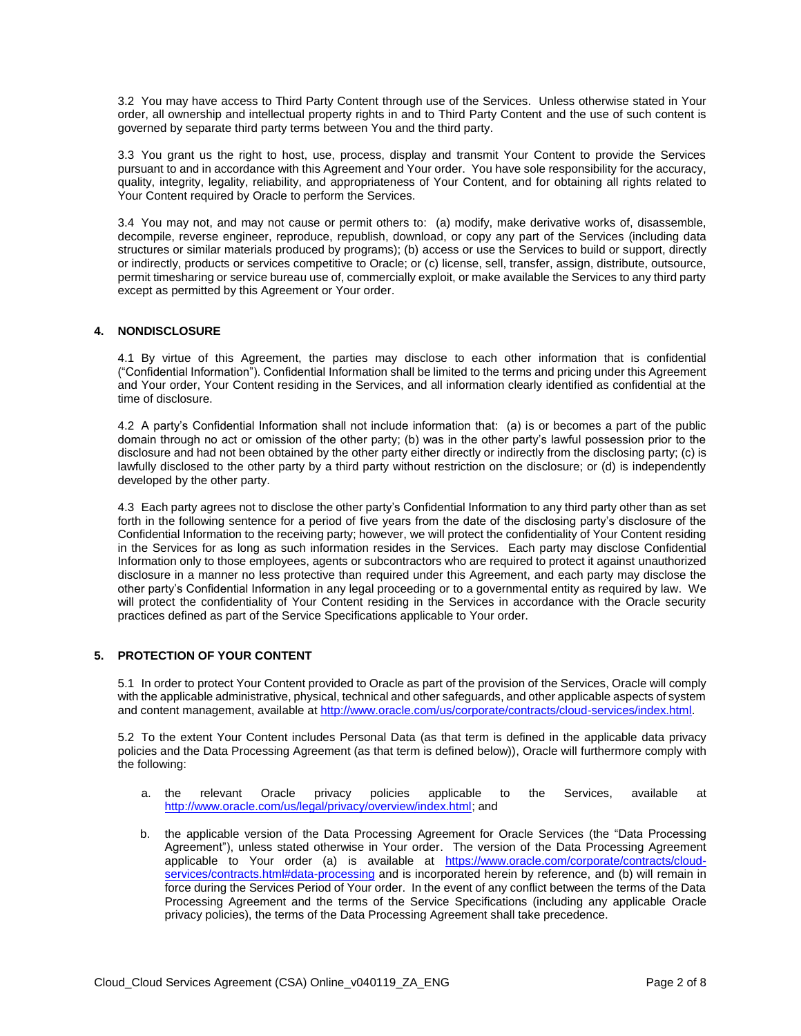3.2 You may have access to Third Party Content through use of the Services. Unless otherwise stated in Your order, all ownership and intellectual property rights in and to Third Party Content and the use of such content is governed by separate third party terms between You and the third party.

3.3 You grant us the right to host, use, process, display and transmit Your Content to provide the Services pursuant to and in accordance with this Agreement and Your order. You have sole responsibility for the accuracy, quality, integrity, legality, reliability, and appropriateness of Your Content, and for obtaining all rights related to Your Content required by Oracle to perform the Services.

3.4 You may not, and may not cause or permit others to: (a) modify, make derivative works of, disassemble, decompile, reverse engineer, reproduce, republish, download, or copy any part of the Services (including data structures or similar materials produced by programs); (b) access or use the Services to build or support, directly or indirectly, products or services competitive to Oracle; or (c) license, sell, transfer, assign, distribute, outsource, permit timesharing or service bureau use of, commercially exploit, or make available the Services to any third party except as permitted by this Agreement or Your order.

# **4. NONDISCLOSURE**

4.1 By virtue of this Agreement, the parties may disclose to each other information that is confidential ("Confidential Information"). Confidential Information shall be limited to the terms and pricing under this Agreement and Your order, Your Content residing in the Services, and all information clearly identified as confidential at the time of disclosure.

4.2 A party's Confidential Information shall not include information that: (a) is or becomes a part of the public domain through no act or omission of the other party; (b) was in the other party's lawful possession prior to the disclosure and had not been obtained by the other party either directly or indirectly from the disclosing party; (c) is lawfully disclosed to the other party by a third party without restriction on the disclosure; or (d) is independently developed by the other party.

4.3 Each party agrees not to disclose the other party's Confidential Information to any third party other than as set forth in the following sentence for a period of five years from the date of the disclosing party's disclosure of the Confidential Information to the receiving party; however, we will protect the confidentiality of Your Content residing in the Services for as long as such information resides in the Services. Each party may disclose Confidential Information only to those employees, agents or subcontractors who are required to protect it against unauthorized disclosure in a manner no less protective than required under this Agreement, and each party may disclose the other party's Confidential Information in any legal proceeding or to a governmental entity as required by law. We will protect the confidentiality of Your Content residing in the Services in accordance with the Oracle security practices defined as part of the Service Specifications applicable to Your order.

# **5. PROTECTION OF YOUR CONTENT**

5.1 In order to protect Your Content provided to Oracle as part of the provision of the Services, Oracle will comply with the applicable administrative, physical, technical and other safeguards, and other applicable aspects of system and content management, available at [http://www.oracle.com/us/corporate/contracts/cloud-services/index.html.](http://www.oracle.com/us/corporate/contracts/cloud-services/index.html)

5.2 To the extent Your Content includes Personal Data (as that term is defined in the applicable data privacy policies and the Data Processing Agreement (as that term is defined below)), Oracle will furthermore comply with the following:

- a. the relevant Oracle privacy policies applicable to the Services, available at [http://www.oracle.com/us/legal/privacy/overview/index.html;](http://www.oracle.com/us/legal/privacy/overview/index.html) and
- b. the applicable version of the Data Processing Agreement for Oracle Services (the "Data Processing Agreement"), unless stated otherwise in Your order. The version of the Data Processing Agreement applicable to Your order (a) is available at [https://www.oracle.com/corporate/contracts/cloud](https://www.oracle.com/corporate/contracts/cloud-services/contracts.html#data-processing)[services/contracts.html#data-processing](https://www.oracle.com/corporate/contracts/cloud-services/contracts.html#data-processing) and is incorporated herein by reference, and (b) will remain in force during the Services Period of Your order. In the event of any conflict between the terms of the Data Processing Agreement and the terms of the Service Specifications (including any applicable Oracle privacy policies), the terms of the Data Processing Agreement shall take precedence.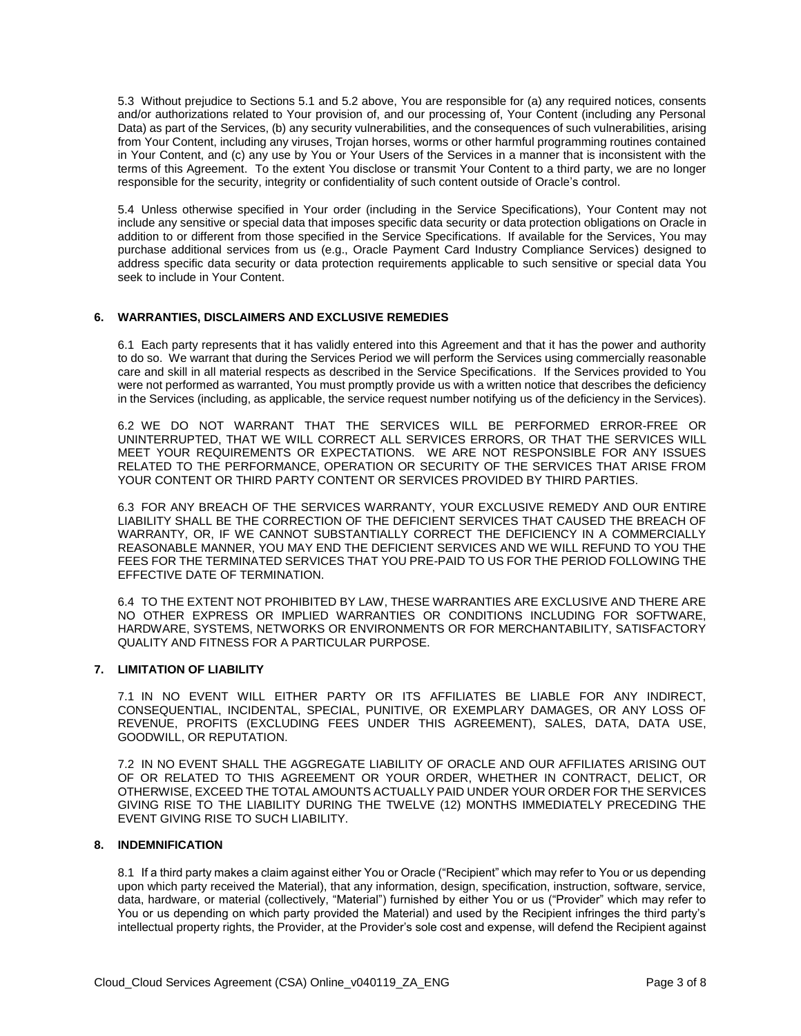5.3 Without prejudice to Sections 5.1 and 5.2 above, You are responsible for (a) any required notices, consents and/or authorizations related to Your provision of, and our processing of, Your Content (including any Personal Data) as part of the Services, (b) any security vulnerabilities, and the consequences of such vulnerabilities, arising from Your Content, including any viruses, Trojan horses, worms or other harmful programming routines contained in Your Content, and (c) any use by You or Your Users of the Services in a manner that is inconsistent with the terms of this Agreement. To the extent You disclose or transmit Your Content to a third party, we are no longer responsible for the security, integrity or confidentiality of such content outside of Oracle's control.

5.4 Unless otherwise specified in Your order (including in the Service Specifications), Your Content may not include any sensitive or special data that imposes specific data security or data protection obligations on Oracle in addition to or different from those specified in the Service Specifications. If available for the Services, You may purchase additional services from us (e.g., Oracle Payment Card Industry Compliance Services) designed to address specific data security or data protection requirements applicable to such sensitive or special data You seek to include in Your Content.

#### **6. WARRANTIES, DISCLAIMERS AND EXCLUSIVE REMEDIES**

6.1 Each party represents that it has validly entered into this Agreement and that it has the power and authority to do so. We warrant that during the Services Period we will perform the Services using commercially reasonable care and skill in all material respects as described in the Service Specifications. If the Services provided to You were not performed as warranted, You must promptly provide us with a written notice that describes the deficiency in the Services (including, as applicable, the service request number notifying us of the deficiency in the Services).

6.2 WE DO NOT WARRANT THAT THE SERVICES WILL BE PERFORMED ERROR-FREE OR UNINTERRUPTED, THAT WE WILL CORRECT ALL SERVICES ERRORS, OR THAT THE SERVICES WILL MEET YOUR REQUIREMENTS OR EXPECTATIONS. WE ARE NOT RESPONSIBLE FOR ANY ISSUES RELATED TO THE PERFORMANCE, OPERATION OR SECURITY OF THE SERVICES THAT ARISE FROM YOUR CONTENT OR THIRD PARTY CONTENT OR SERVICES PROVIDED BY THIRD PARTIES.

6.3 FOR ANY BREACH OF THE SERVICES WARRANTY, YOUR EXCLUSIVE REMEDY AND OUR ENTIRE LIABILITY SHALL BE THE CORRECTION OF THE DEFICIENT SERVICES THAT CAUSED THE BREACH OF WARRANTY, OR, IF WE CANNOT SUBSTANTIALLY CORRECT THE DEFICIENCY IN A COMMERCIALLY REASONABLE MANNER, YOU MAY END THE DEFICIENT SERVICES AND WE WILL REFUND TO YOU THE FEES FOR THE TERMINATED SERVICES THAT YOU PRE-PAID TO US FOR THE PERIOD FOLLOWING THE EFFECTIVE DATE OF TERMINATION.

6.4 TO THE EXTENT NOT PROHIBITED BY LAW, THESE WARRANTIES ARE EXCLUSIVE AND THERE ARE NO OTHER EXPRESS OR IMPLIED WARRANTIES OR CONDITIONS INCLUDING FOR SOFTWARE, HARDWARE, SYSTEMS, NETWORKS OR ENVIRONMENTS OR FOR MERCHANTABILITY, SATISFACTORY QUALITY AND FITNESS FOR A PARTICULAR PURPOSE.

#### **7. LIMITATION OF LIABILITY**

7.1 IN NO EVENT WILL EITHER PARTY OR ITS AFFILIATES BE LIABLE FOR ANY INDIRECT, CONSEQUENTIAL, INCIDENTAL, SPECIAL, PUNITIVE, OR EXEMPLARY DAMAGES, OR ANY LOSS OF REVENUE, PROFITS (EXCLUDING FEES UNDER THIS AGREEMENT), SALES, DATA, DATA USE, GOODWILL, OR REPUTATION.

7.2 IN NO EVENT SHALL THE AGGREGATE LIABILITY OF ORACLE AND OUR AFFILIATES ARISING OUT OF OR RELATED TO THIS AGREEMENT OR YOUR ORDER, WHETHER IN CONTRACT, DELICT, OR OTHERWISE, EXCEED THE TOTAL AMOUNTS ACTUALLY PAID UNDER YOUR ORDER FOR THE SERVICES GIVING RISE TO THE LIABILITY DURING THE TWELVE (12) MONTHS IMMEDIATELY PRECEDING THE EVENT GIVING RISE TO SUCH LIABILITY.

#### **8. INDEMNIFICATION**

8.1 If a third party makes a claim against either You or Oracle ("Recipient" which may refer to You or us depending upon which party received the Material), that any information, design, specification, instruction, software, service, data, hardware, or material (collectively, "Material") furnished by either You or us ("Provider" which may refer to You or us depending on which party provided the Material) and used by the Recipient infringes the third party's intellectual property rights, the Provider, at the Provider's sole cost and expense, will defend the Recipient against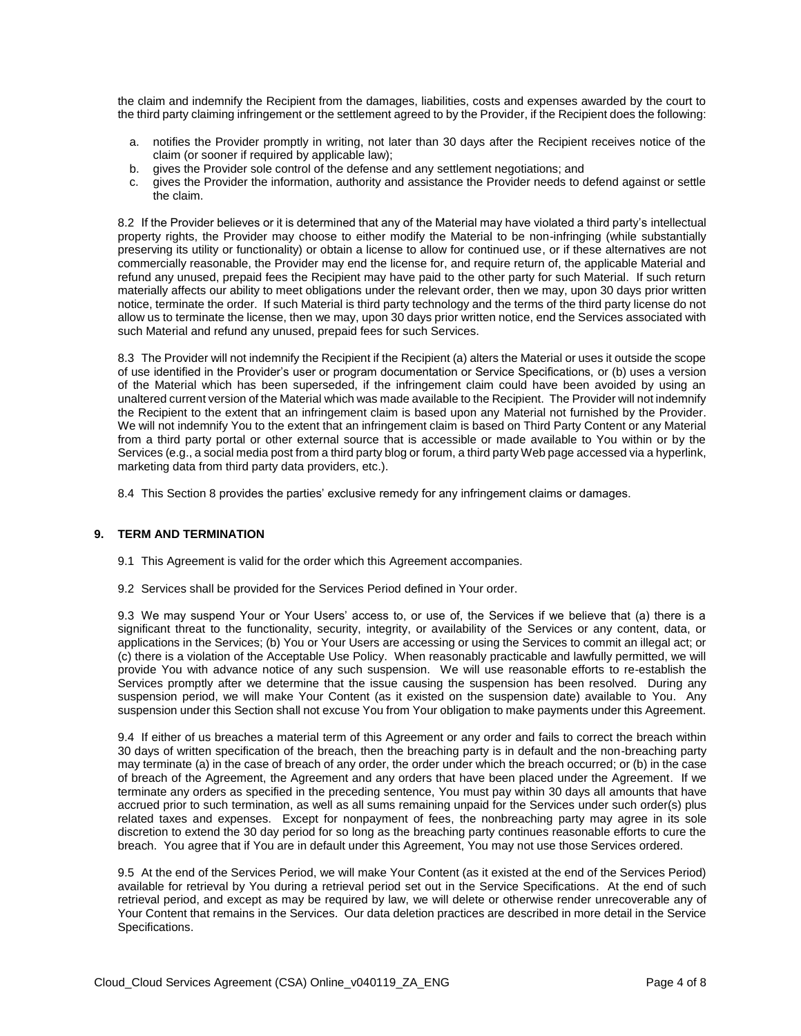the claim and indemnify the Recipient from the damages, liabilities, costs and expenses awarded by the court to the third party claiming infringement or the settlement agreed to by the Provider, if the Recipient does the following:

- a. notifies the Provider promptly in writing, not later than 30 days after the Recipient receives notice of the claim (or sooner if required by applicable law);
- b. gives the Provider sole control of the defense and any settlement negotiations; and
- c. gives the Provider the information, authority and assistance the Provider needs to defend against or settle the claim.

8.2 If the Provider believes or it is determined that any of the Material may have violated a third party's intellectual property rights, the Provider may choose to either modify the Material to be non-infringing (while substantially preserving its utility or functionality) or obtain a license to allow for continued use, or if these alternatives are not commercially reasonable, the Provider may end the license for, and require return of, the applicable Material and refund any unused, prepaid fees the Recipient may have paid to the other party for such Material. If such return materially affects our ability to meet obligations under the relevant order, then we may, upon 30 days prior written notice, terminate the order. If such Material is third party technology and the terms of the third party license do not allow us to terminate the license, then we may, upon 30 days prior written notice, end the Services associated with such Material and refund any unused, prepaid fees for such Services.

8.3 The Provider will not indemnify the Recipient if the Recipient (a) alters the Material or uses it outside the scope of use identified in the Provider's user or program documentation or Service Specifications, or (b) uses a version of the Material which has been superseded, if the infringement claim could have been avoided by using an unaltered current version of the Material which was made available to the Recipient. The Provider will not indemnify the Recipient to the extent that an infringement claim is based upon any Material not furnished by the Provider. We will not indemnify You to the extent that an infringement claim is based on Third Party Content or any Material from a third party portal or other external source that is accessible or made available to You within or by the Services (e.g., a social media post from a third party blog or forum, a third party Web page accessed via a hyperlink, marketing data from third party data providers, etc.).

8.4 This Section 8 provides the parties' exclusive remedy for any infringement claims or damages.

#### **9. TERM AND TERMINATION**

- 9.1 This Agreement is valid for the order which this Agreement accompanies.
- 9.2 Services shall be provided for the Services Period defined in Your order.

9.3 We may suspend Your or Your Users' access to, or use of, the Services if we believe that (a) there is a significant threat to the functionality, security, integrity, or availability of the Services or any content, data, or applications in the Services; (b) You or Your Users are accessing or using the Services to commit an illegal act; or (c) there is a violation of the Acceptable Use Policy. When reasonably practicable and lawfully permitted, we will provide You with advance notice of any such suspension. We will use reasonable efforts to re-establish the Services promptly after we determine that the issue causing the suspension has been resolved. During any suspension period, we will make Your Content (as it existed on the suspension date) available to You. Any suspension under this Section shall not excuse You from Your obligation to make payments under this Agreement.

9.4 If either of us breaches a material term of this Agreement or any order and fails to correct the breach within 30 days of written specification of the breach, then the breaching party is in default and the non-breaching party may terminate (a) in the case of breach of any order, the order under which the breach occurred; or (b) in the case of breach of the Agreement, the Agreement and any orders that have been placed under the Agreement. If we terminate any orders as specified in the preceding sentence, You must pay within 30 days all amounts that have accrued prior to such termination, as well as all sums remaining unpaid for the Services under such order(s) plus related taxes and expenses. Except for nonpayment of fees, the nonbreaching party may agree in its sole discretion to extend the 30 day period for so long as the breaching party continues reasonable efforts to cure the breach. You agree that if You are in default under this Agreement, You may not use those Services ordered.

9.5 At the end of the Services Period, we will make Your Content (as it existed at the end of the Services Period) available for retrieval by You during a retrieval period set out in the Service Specifications. At the end of such retrieval period, and except as may be required by law, we will delete or otherwise render unrecoverable any of Your Content that remains in the Services. Our data deletion practices are described in more detail in the Service Specifications.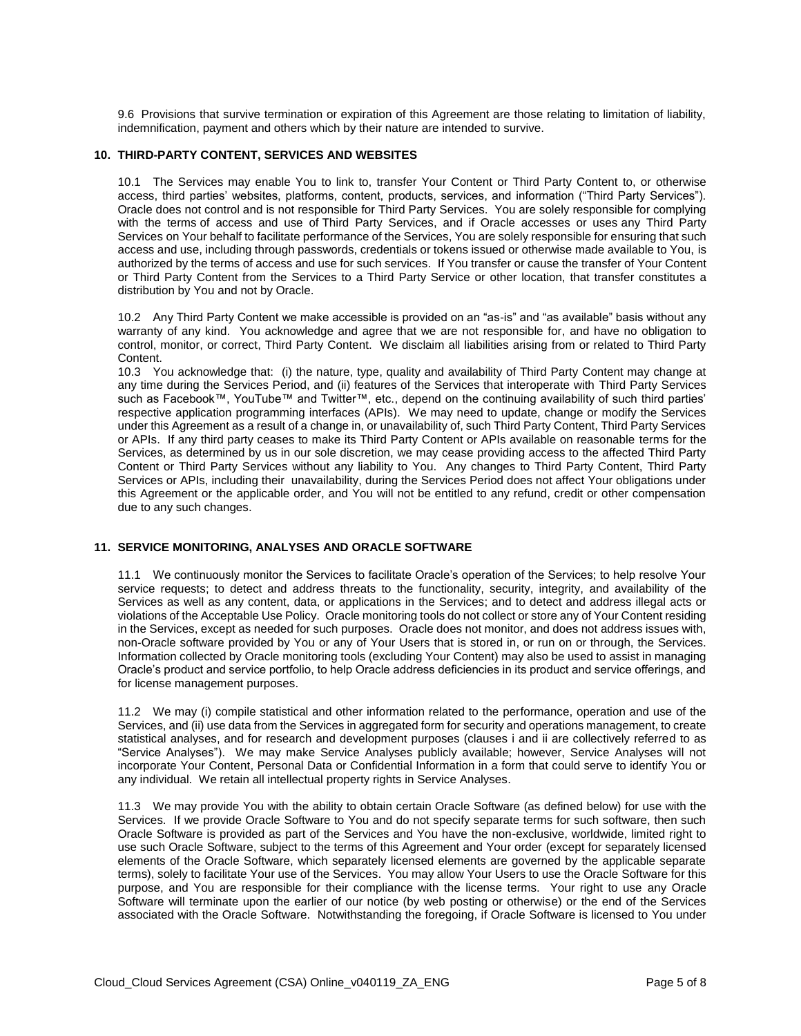9.6 Provisions that survive termination or expiration of this Agreement are those relating to limitation of liability, indemnification, payment and others which by their nature are intended to survive.

#### **10. THIRD-PARTY CONTENT, SERVICES AND WEBSITES**

10.1 The Services may enable You to link to, transfer Your Content or Third Party Content to, or otherwise access, third parties' websites, platforms, content, products, services, and information ("Third Party Services"). Oracle does not control and is not responsible for Third Party Services. You are solely responsible for complying with the terms of access and use of Third Party Services, and if Oracle accesses or uses any Third Party Services on Your behalf to facilitate performance of the Services, You are solely responsible for ensuring that such access and use, including through passwords, credentials or tokens issued or otherwise made available to You, is authorized by the terms of access and use for such services. If You transfer or cause the transfer of Your Content or Third Party Content from the Services to a Third Party Service or other location, that transfer constitutes a distribution by You and not by Oracle.

10.2 Any Third Party Content we make accessible is provided on an "as-is" and "as available" basis without any warranty of any kind. You acknowledge and agree that we are not responsible for, and have no obligation to control, monitor, or correct, Third Party Content. We disclaim all liabilities arising from or related to Third Party Content.

10.3 You acknowledge that: (i) the nature, type, quality and availability of Third Party Content may change at any time during the Services Period, and (ii) features of the Services that interoperate with Third Party Services such as Facebook™, YouTube™ and Twitter™, etc., depend on the continuing availability of such third parties' respective application programming interfaces (APIs). We may need to update, change or modify the Services under this Agreement as a result of a change in, or unavailability of, such Third Party Content, Third Party Services or APIs. If any third party ceases to make its Third Party Content or APIs available on reasonable terms for the Services, as determined by us in our sole discretion, we may cease providing access to the affected Third Party Content or Third Party Services without any liability to You. Any changes to Third Party Content, Third Party Services or APIs, including their unavailability, during the Services Period does not affect Your obligations under this Agreement or the applicable order, and You will not be entitled to any refund, credit or other compensation due to any such changes.

# **11. SERVICE MONITORING, ANALYSES AND ORACLE SOFTWARE**

11.1 We continuously monitor the Services to facilitate Oracle's operation of the Services; to help resolve Your service requests; to detect and address threats to the functionality, security, integrity, and availability of the Services as well as any content, data, or applications in the Services; and to detect and address illegal acts or violations of the Acceptable Use Policy. Oracle monitoring tools do not collect or store any of Your Content residing in the Services, except as needed for such purposes. Oracle does not monitor, and does not address issues with, non-Oracle software provided by You or any of Your Users that is stored in, or run on or through, the Services. Information collected by Oracle monitoring tools (excluding Your Content) may also be used to assist in managing Oracle's product and service portfolio, to help Oracle address deficiencies in its product and service offerings, and for license management purposes.

11.2 We may (i) compile statistical and other information related to the performance, operation and use of the Services, and (ii) use data from the Services in aggregated form for security and operations management, to create statistical analyses, and for research and development purposes (clauses i and ii are collectively referred to as "Service Analyses"). We may make Service Analyses publicly available; however, Service Analyses will not incorporate Your Content, Personal Data or Confidential Information in a form that could serve to identify You or any individual. We retain all intellectual property rights in Service Analyses.

11.3 We may provide You with the ability to obtain certain Oracle Software (as defined below) for use with the Services. If we provide Oracle Software to You and do not specify separate terms for such software, then such Oracle Software is provided as part of the Services and You have the non-exclusive, worldwide, limited right to use such Oracle Software, subject to the terms of this Agreement and Your order (except for separately licensed elements of the Oracle Software, which separately licensed elements are governed by the applicable separate terms), solely to facilitate Your use of the Services. You may allow Your Users to use the Oracle Software for this purpose, and You are responsible for their compliance with the license terms. Your right to use any Oracle Software will terminate upon the earlier of our notice (by web posting or otherwise) or the end of the Services associated with the Oracle Software. Notwithstanding the foregoing, if Oracle Software is licensed to You under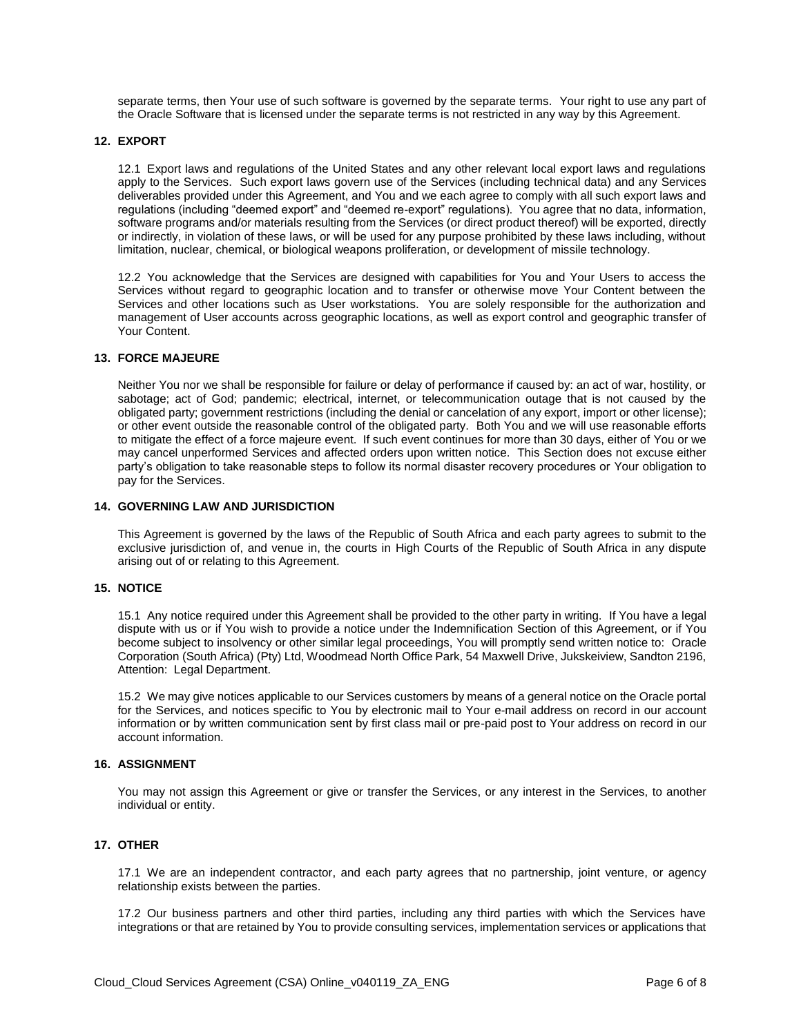separate terms, then Your use of such software is governed by the separate terms. Your right to use any part of the Oracle Software that is licensed under the separate terms is not restricted in any way by this Agreement.

#### **12. EXPORT**

12.1 Export laws and regulations of the United States and any other relevant local export laws and regulations apply to the Services. Such export laws govern use of the Services (including technical data) and any Services deliverables provided under this Agreement, and You and we each agree to comply with all such export laws and regulations (including "deemed export" and "deemed re-export" regulations). You agree that no data, information, software programs and/or materials resulting from the Services (or direct product thereof) will be exported, directly or indirectly, in violation of these laws, or will be used for any purpose prohibited by these laws including, without limitation, nuclear, chemical, or biological weapons proliferation, or development of missile technology.

12.2 You acknowledge that the Services are designed with capabilities for You and Your Users to access the Services without regard to geographic location and to transfer or otherwise move Your Content between the Services and other locations such as User workstations. You are solely responsible for the authorization and management of User accounts across geographic locations, as well as export control and geographic transfer of Your Content.

#### **13. FORCE MAJEURE**

Neither You nor we shall be responsible for failure or delay of performance if caused by: an act of war, hostility, or sabotage; act of God; pandemic; electrical, internet, or telecommunication outage that is not caused by the obligated party; government restrictions (including the denial or cancelation of any export, import or other license); or other event outside the reasonable control of the obligated party. Both You and we will use reasonable efforts to mitigate the effect of a force majeure event. If such event continues for more than 30 days, either of You or we may cancel unperformed Services and affected orders upon written notice. This Section does not excuse either party's obligation to take reasonable steps to follow its normal disaster recovery procedures or Your obligation to pay for the Services.

# **14. GOVERNING LAW AND JURISDICTION**

This Agreement is governed by the laws of the Republic of South Africa and each party agrees to submit to the exclusive jurisdiction of, and venue in, the courts in High Courts of the Republic of South Africa in any dispute arising out of or relating to this Agreement.

#### **15. NOTICE**

15.1 Any notice required under this Agreement shall be provided to the other party in writing. If You have a legal dispute with us or if You wish to provide a notice under the Indemnification Section of this Agreement, or if You become subject to insolvency or other similar legal proceedings, You will promptly send written notice to: Oracle Corporation (South Africa) (Pty) Ltd, Woodmead North Office Park, 54 Maxwell Drive, Jukskeiview, Sandton 2196, Attention: Legal Department.

15.2 We may give notices applicable to our Services customers by means of a general notice on the Oracle portal for the Services, and notices specific to You by electronic mail to Your e-mail address on record in our account information or by written communication sent by first class mail or pre-paid post to Your address on record in our account information.

# **16. ASSIGNMENT**

You may not assign this Agreement or give or transfer the Services, or any interest in the Services, to another individual or entity.

# **17. OTHER**

17.1 We are an independent contractor, and each party agrees that no partnership, joint venture, or agency relationship exists between the parties.

17.2 Our business partners and other third parties, including any third parties with which the Services have integrations or that are retained by You to provide consulting services, implementation services or applications that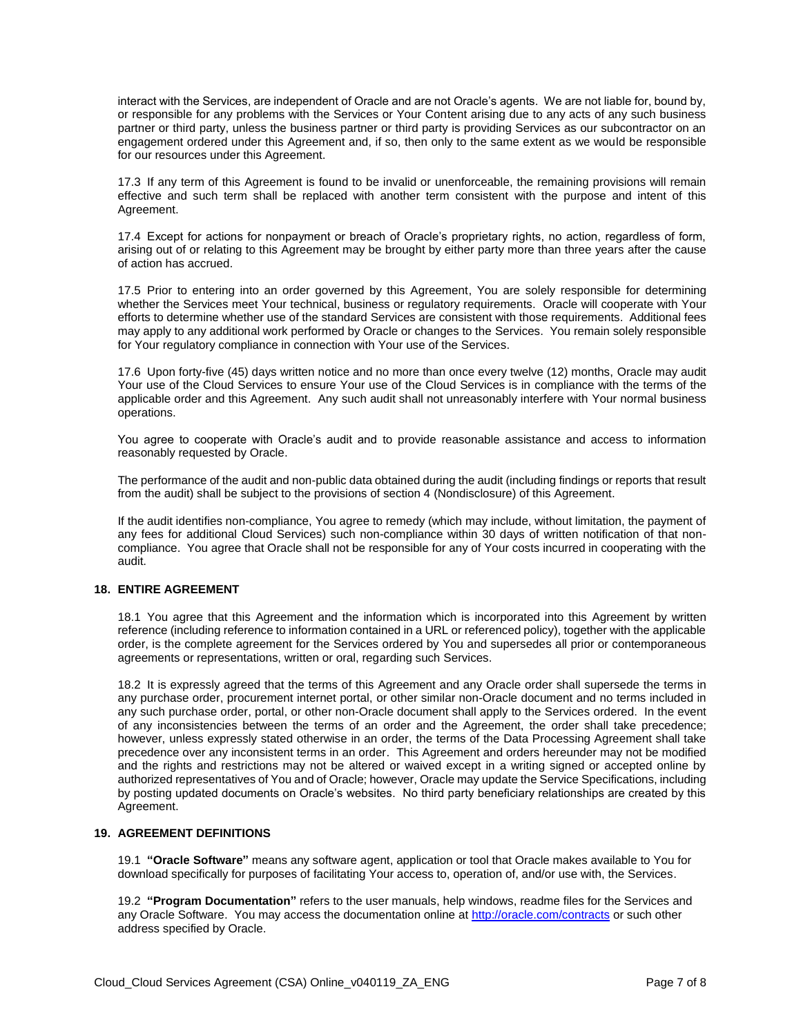interact with the Services, are independent of Oracle and are not Oracle's agents. We are not liable for, bound by, or responsible for any problems with the Services or Your Content arising due to any acts of any such business partner or third party, unless the business partner or third party is providing Services as our subcontractor on an engagement ordered under this Agreement and, if so, then only to the same extent as we would be responsible for our resources under this Agreement.

17.3 If any term of this Agreement is found to be invalid or unenforceable, the remaining provisions will remain effective and such term shall be replaced with another term consistent with the purpose and intent of this Agreement.

17.4 Except for actions for nonpayment or breach of Oracle's proprietary rights, no action, regardless of form, arising out of or relating to this Agreement may be brought by either party more than three years after the cause of action has accrued.

17.5 Prior to entering into an order governed by this Agreement, You are solely responsible for determining whether the Services meet Your technical, business or regulatory requirements. Oracle will cooperate with Your efforts to determine whether use of the standard Services are consistent with those requirements. Additional fees may apply to any additional work performed by Oracle or changes to the Services. You remain solely responsible for Your regulatory compliance in connection with Your use of the Services.

17.6 Upon forty-five (45) days written notice and no more than once every twelve (12) months, Oracle may audit Your use of the Cloud Services to ensure Your use of the Cloud Services is in compliance with the terms of the applicable order and this Agreement. Any such audit shall not unreasonably interfere with Your normal business operations.

You agree to cooperate with Oracle's audit and to provide reasonable assistance and access to information reasonably requested by Oracle.

The performance of the audit and non-public data obtained during the audit (including findings or reports that result from the audit) shall be subject to the provisions of section 4 (Nondisclosure) of this Agreement.

If the audit identifies non-compliance, You agree to remedy (which may include, without limitation, the payment of any fees for additional Cloud Services) such non-compliance within 30 days of written notification of that noncompliance. You agree that Oracle shall not be responsible for any of Your costs incurred in cooperating with the audit.

# **18. ENTIRE AGREEMENT**

18.1 You agree that this Agreement and the information which is incorporated into this Agreement by written reference (including reference to information contained in a URL or referenced policy), together with the applicable order, is the complete agreement for the Services ordered by You and supersedes all prior or contemporaneous agreements or representations, written or oral, regarding such Services.

18.2 It is expressly agreed that the terms of this Agreement and any Oracle order shall supersede the terms in any purchase order, procurement internet portal, or other similar non-Oracle document and no terms included in any such purchase order, portal, or other non-Oracle document shall apply to the Services ordered. In the event of any inconsistencies between the terms of an order and the Agreement, the order shall take precedence; however, unless expressly stated otherwise in an order, the terms of the Data Processing Agreement shall take precedence over any inconsistent terms in an order. This Agreement and orders hereunder may not be modified and the rights and restrictions may not be altered or waived except in a writing signed or accepted online by authorized representatives of You and of Oracle; however, Oracle may update the Service Specifications, including by posting updated documents on Oracle's websites. No third party beneficiary relationships are created by this Agreement.

#### **19. AGREEMENT DEFINITIONS**

19.1 **"Oracle Software"** means any software agent, application or tool that Oracle makes available to You for download specifically for purposes of facilitating Your access to, operation of, and/or use with, the Services.

19.2 **"Program Documentation"** refers to the user manuals, help windows, readme files for the Services and any Oracle Software. You may access the documentation online a[t http://oracle.com/contracts](http://oracle.com/contracts) or such other address specified by Oracle.